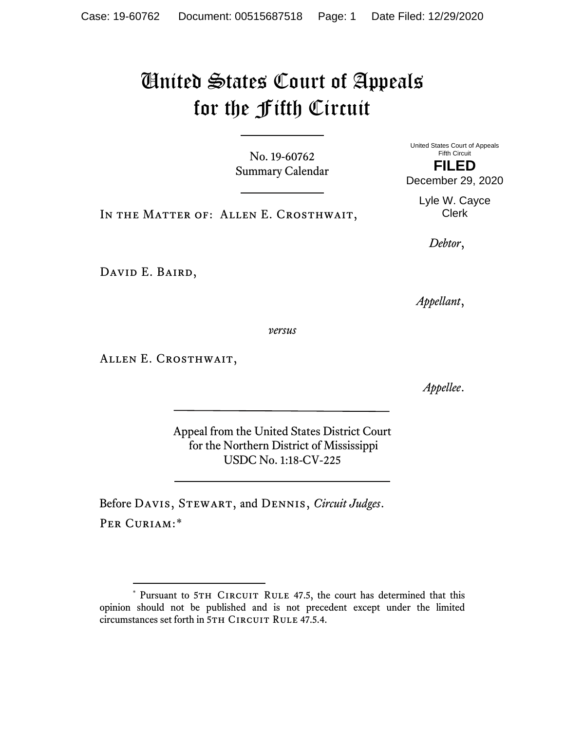# United States Court of Appeals for the Fifth Circuit

No. 19-60762 Summary Calendar United States Court of Appeals Fifth Circuit

IN THE MATTER OF: ALLEN E. CROSTHWAIT,

*Debtor*,

David E. Baird,

*Appellant*,

*versus*

Allen E. Crosthwait,

*Appellee*.

Appeal from the United States District Court for the Northern District of Mississippi USDC No. 1:18-CV-225

Before Davis, Stewart, and Dennis, *Circuit Judges*. PER CURIAM:[\\*](#page-0-0)

**FILED** December 29, 2020

Lyle W. Cayce Clerk

<span id="page-0-0"></span><sup>\*</sup> Pursuant to 5TH CIRCUIT RULE 47.5, the court has determined that this opinion should not be published and is not precedent except under the limited circumstances set forth in 5TH CIRCUIT RULE 47.5.4.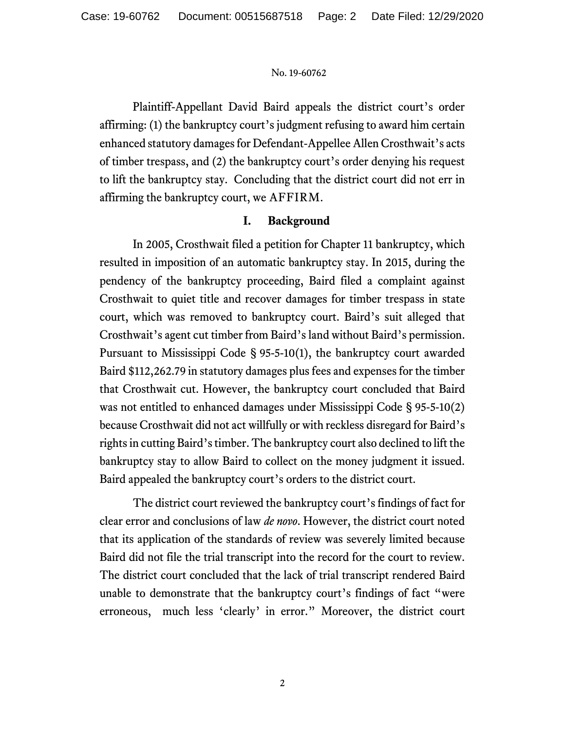Plaintiff-Appellant David Baird appeals the district court's order affirming: (1) the bankruptcy court's judgment refusing to award him certain enhanced statutory damages for Defendant-Appellee Allen Crosthwait's acts of timber trespass, and (2) the bankruptcy court's order denying his request to lift the bankruptcy stay. Concluding that the district court did not err in affirming the bankruptcy court, we AFFIRM.

# **I. Background**

In 2005, Crosthwait filed a petition for Chapter 11 bankruptcy, which resulted in imposition of an automatic bankruptcy stay. In 2015, during the pendency of the bankruptcy proceeding, Baird filed a complaint against Crosthwait to quiet title and recover damages for timber trespass in state court, which was removed to bankruptcy court. Baird's suit alleged that Crosthwait's agent cut timber from Baird's land without Baird's permission. Pursuant to Mississippi Code § 95-5-10(1), the bankruptcy court awarded Baird \$112,262.79 in statutory damages plus fees and expenses for the timber that Crosthwait cut. However, the bankruptcy court concluded that Baird was not entitled to enhanced damages under Mississippi Code § 95-5-10(2) because Crosthwait did not act willfully or with reckless disregard for Baird's rights in cutting Baird's timber. The bankruptcy court also declined to lift the bankruptcy stay to allow Baird to collect on the money judgment it issued. Baird appealed the bankruptcy court's orders to the district court.

The district court reviewed the bankruptcy court's findings of fact for clear error and conclusions of law *de novo*. However, the district court noted that its application of the standards of review was severely limited because Baird did not file the trial transcript into the record for the court to review. The district court concluded that the lack of trial transcript rendered Baird unable to demonstrate that the bankruptcy court's findings of fact "were erroneous, much less 'clearly' in error." Moreover, the district court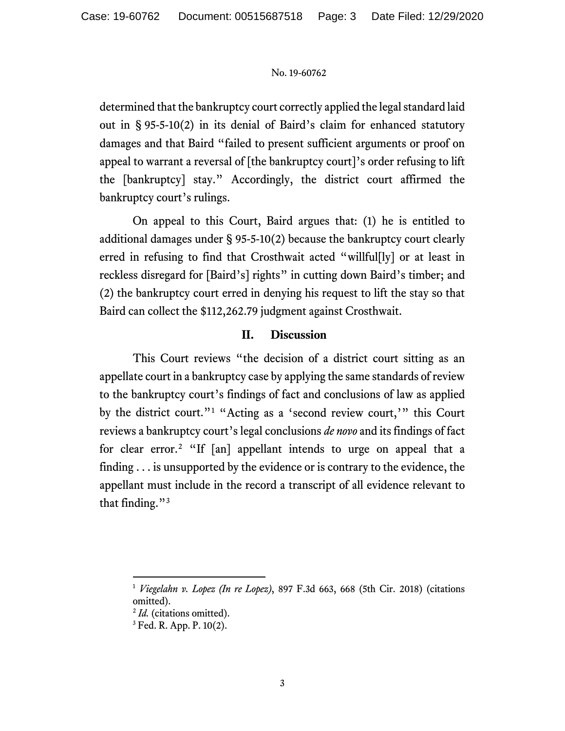determined that the bankruptcy court correctly applied the legal standard laid out in § 95-5-10(2) in its denial of Baird's claim for enhanced statutory damages and that Baird "failed to present sufficient arguments or proof on appeal to warrant a reversal of [the bankruptcy court]'s order refusing to lift the [bankruptcy] stay." Accordingly, the district court affirmed the bankruptcy court's rulings.

On appeal to this Court, Baird argues that: (1) he is entitled to additional damages under § 95-5-10(2) because the bankruptcy court clearly erred in refusing to find that Crosthwait acted "willful[ly] or at least in reckless disregard for [Baird's] rights" in cutting down Baird's timber; and (2) the bankruptcy court erred in denying his request to lift the stay so that Baird can collect the \$112,262.79 judgment against Crosthwait.

### **II. Discussion**

This Court reviews "the decision of a district court sitting as an appellate court in a bankruptcy case by applying the same standards of review to the bankruptcy court's findings of fact and conclusions of law as applied by the district court."[1](#page-2-0) "Acting as a 'second review court,'" this Court reviews a bankruptcy court's legal conclusions *de novo* and its findings of fact for clear error.[2](#page-2-1) "If [an] appellant intends to urge on appeal that a finding . . . is unsupported by the evidence or is contrary to the evidence, the appellant must include in the record a transcript of all evidence relevant to that finding."<sup>[3](#page-2-2)</sup>

<span id="page-2-0"></span><sup>1</sup> *Viegelahn v. Lopez (In re Lopez)*, 897 F.3d 663, 668 (5th Cir. 2018) (citations omitted).

<span id="page-2-1"></span><sup>2</sup> *Id.* (citations omitted).

<span id="page-2-2"></span><sup>3</sup> Fed. R. App. P. 10(2).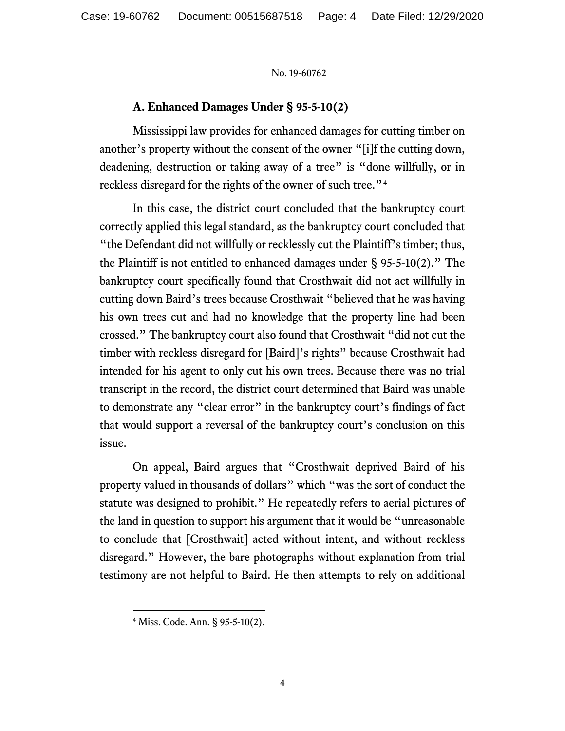## **A. Enhanced Damages Under § 95-5-10(2)**

Mississippi law provides for enhanced damages for cutting timber on another's property without the consent of the owner "[i]f the cutting down, deadening, destruction or taking away of a tree" is "done willfully, or in reckless disregard for the rights of the owner of such tree."[4](#page-3-0)

In this case, the district court concluded that the bankruptcy court correctly applied this legal standard, as the bankruptcy court concluded that "the Defendant did not willfully or recklessly cut the Plaintiff's timber; thus, the Plaintiff is not entitled to enhanced damages under § 95-5-10(2)." The bankruptcy court specifically found that Crosthwait did not act willfully in cutting down Baird's trees because Crosthwait "believed that he was having his own trees cut and had no knowledge that the property line had been crossed." The bankruptcy court also found that Crosthwait "did not cut the timber with reckless disregard for [Baird]'s rights" because Crosthwait had intended for his agent to only cut his own trees. Because there was no trial transcript in the record, the district court determined that Baird was unable to demonstrate any "clear error" in the bankruptcy court's findings of fact that would support a reversal of the bankruptcy court's conclusion on this issue.

On appeal, Baird argues that "Crosthwait deprived Baird of his property valued in thousands of dollars" which "was the sort of conduct the statute was designed to prohibit." He repeatedly refers to aerial pictures of the land in question to support his argument that it would be "unreasonable to conclude that [Crosthwait] acted without intent, and without reckless disregard." However, the bare photographs without explanation from trial testimony are not helpful to Baird. He then attempts to rely on additional

<span id="page-3-0"></span><sup>4</sup> Miss. Code. Ann. § 95-5-10(2).